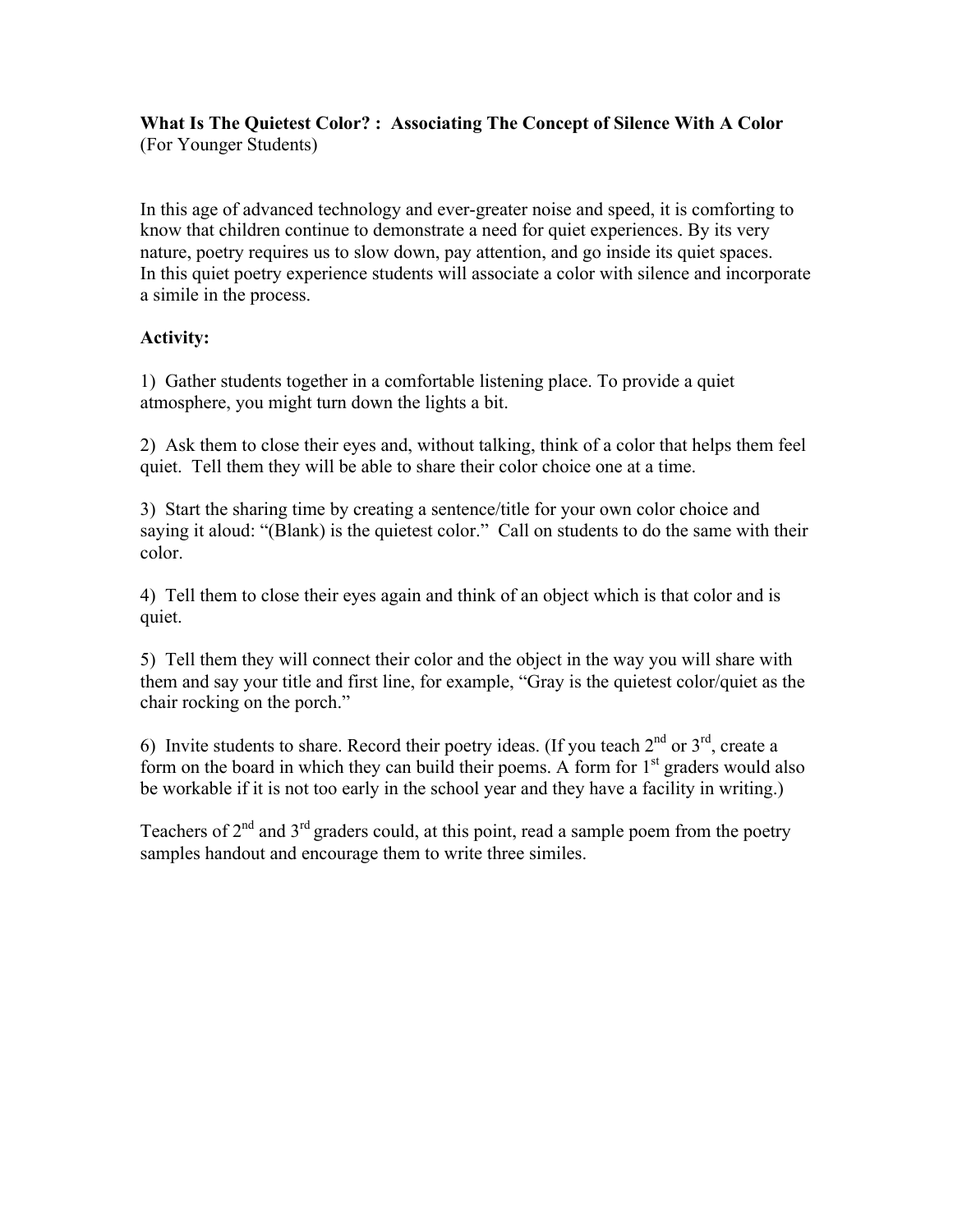**What Is The Quietest Color? : Associating The Concept of Silence With A Color** (For Younger Students)

In this age of advanced technology and ever-greater noise and speed, it is comforting to know that children continue to demonstrate a need for quiet experiences. By its very nature, poetry requires us to slow down, pay attention, and go inside its quiet spaces. In this quiet poetry experience students will associate a color with silence and incorporate a simile in the process.

# **Activity:**

1) Gather students together in a comfortable listening place. To provide a quiet atmosphere, you might turn down the lights a bit.

2) Ask them to close their eyes and, without talking, think of a color that helps them feel quiet. Tell them they will be able to share their color choice one at a time.

3) Start the sharing time by creating a sentence/title for your own color choice and saying it aloud: "(Blank) is the quietest color." Call on students to do the same with their color.

4) Tell them to close their eyes again and think of an object which is that color and is quiet.

5) Tell them they will connect their color and the object in the way you will share with them and say your title and first line, for example, "Gray is the quietest color/quiet as the chair rocking on the porch."

6) Invite students to share. Record their poetry ideas. (If you teach  $2<sup>nd</sup>$  or  $3<sup>rd</sup>$ , create a form on the board in which they can build their poems. A form for  $1<sup>st</sup>$  graders would also be workable if it is not too early in the school year and they have a facility in writing.)

Teachers of  $2<sup>nd</sup>$  and  $3<sup>rd</sup>$  graders could, at this point, read a sample poem from the poetry samples handout and encourage them to write three similes.